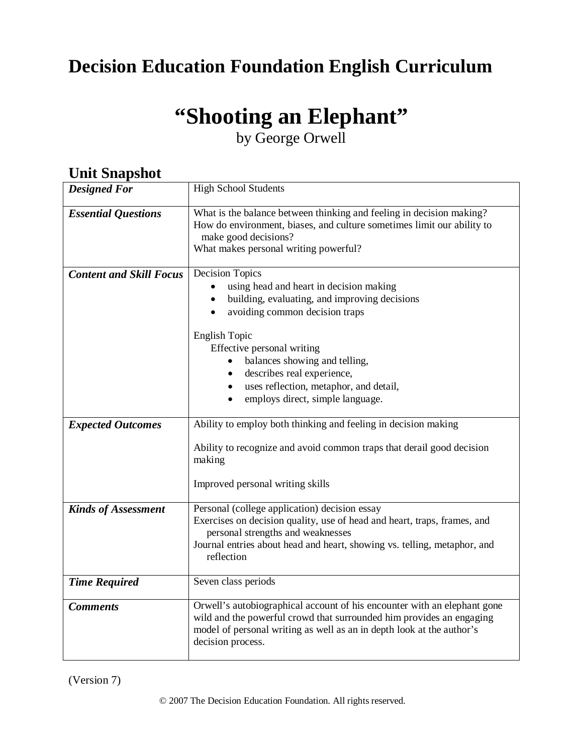# **Decision Education Foundation English Curriculum**

# **"Shooting an Elephant"**

by George Orwell

| они энармос                    |                                                                                                                                                                                                                                                                                                                                                                                                             |
|--------------------------------|-------------------------------------------------------------------------------------------------------------------------------------------------------------------------------------------------------------------------------------------------------------------------------------------------------------------------------------------------------------------------------------------------------------|
| <b>Designed For</b>            | <b>High School Students</b>                                                                                                                                                                                                                                                                                                                                                                                 |
| <b>Essential Questions</b>     | What is the balance between thinking and feeling in decision making?<br>How do environment, biases, and culture sometimes limit our ability to<br>make good decisions?<br>What makes personal writing powerful?                                                                                                                                                                                             |
| <b>Content and Skill Focus</b> | <b>Decision Topics</b><br>using head and heart in decision making<br>building, evaluating, and improving decisions<br>avoiding common decision traps<br><b>English Topic</b><br>Effective personal writing<br>balances showing and telling,<br>$\bullet$<br>describes real experience,<br>$\bullet$<br>uses reflection, metaphor, and detail,<br>$\bullet$<br>employs direct, simple language.<br>$\bullet$ |
| <b>Expected Outcomes</b>       | Ability to employ both thinking and feeling in decision making<br>Ability to recognize and avoid common traps that derail good decision<br>making<br>Improved personal writing skills                                                                                                                                                                                                                       |
| <b>Kinds of Assessment</b>     | Personal (college application) decision essay<br>Exercises on decision quality, use of head and heart, traps, frames, and<br>personal strengths and weaknesses<br>Journal entries about head and heart, showing vs. telling, metaphor, and<br>reflection                                                                                                                                                    |
| <b>Time Required</b>           | Seven class periods                                                                                                                                                                                                                                                                                                                                                                                         |
| <b>Comments</b>                | Orwell's autobiographical account of his encounter with an elephant gone<br>wild and the powerful crowd that surrounded him provides an engaging<br>model of personal writing as well as an in depth look at the author's<br>decision process.                                                                                                                                                              |

**Unit Snanchot** 

(Version 7)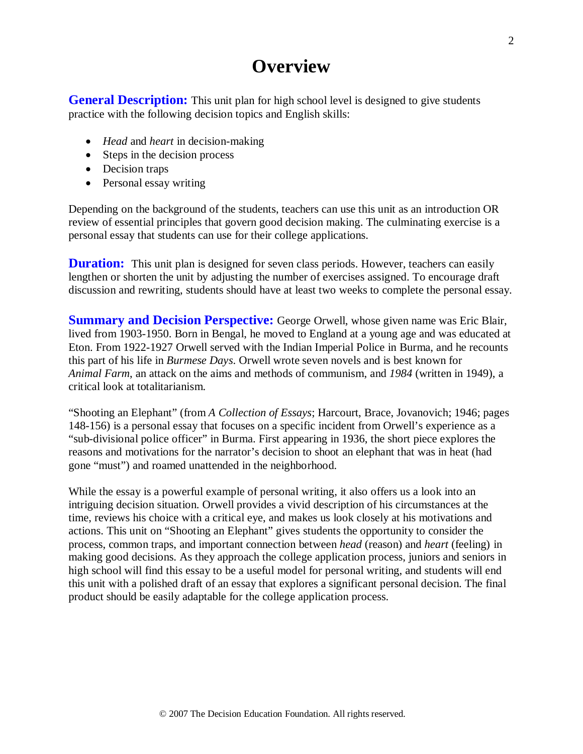# **Overview**

**General Description:** This unit plan for high school level is designed to give students practice with the following decision topics and English skills:

- *Head* and *heart* in decision-making
- Steps in the decision process
- Decision traps
- Personal essay writing

Depending on the background of the students, teachers can use this unit as an introduction OR review of essential principles that govern good decision making. The culminating exercise is a personal essay that students can use for their college applications.

**Duration:** This unit plan is designed for seven class periods. However, teachers can easily lengthen or shorten the unit by adjusting the number of exercises assigned. To encourage draft discussion and rewriting, students should have at least two weeks to complete the personal essay.

**Summary and Decision Perspective:** George Orwell, whose given name was Eric Blair, lived from 1903-1950. Born in Bengal, he moved to England at a young age and was educated at Eton. From 1922-1927 Orwell served with the Indian Imperial Police in Burma, and he recounts this part of his life in *Burmese Days*. Orwell wrote seven novels and is best known for *Animal Farm*, an attack on the aims and methods of communism, and *1984* (written in 1949), a critical look at totalitarianism.

"Shooting an Elephant" (from *A Collection of Essays*; Harcourt, Brace, Jovanovich; 1946; pages 148-156) is a personal essay that focuses on a specific incident from Orwell's experience as a "sub-divisional police officer" in Burma. First appearing in 1936, the short piece explores the reasons and motivations for the narrator's decision to shoot an elephant that was in heat (had gone "must") and roamed unattended in the neighborhood.

While the essay is a powerful example of personal writing, it also offers us a look into an intriguing decision situation. Orwell provides a vivid description of his circumstances at the time, reviews his choice with a critical eye, and makes us look closely at his motivations and actions. This unit on "Shooting an Elephant" gives students the opportunity to consider the process, common traps, and important connection between *head* (reason) and *heart* (feeling) in making good decisions. As they approach the college application process, juniors and seniors in high school will find this essay to be a useful model for personal writing, and students will end this unit with a polished draft of an essay that explores a significant personal decision. The final product should be easily adaptable for the college application process.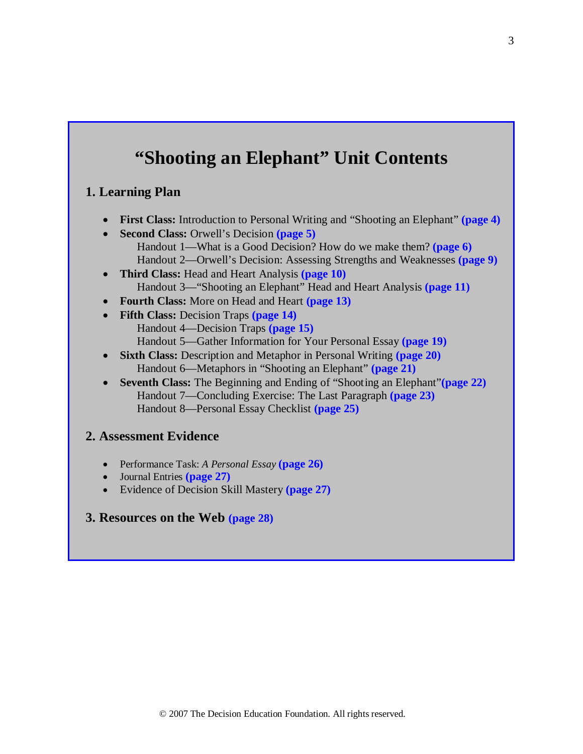# **"Shooting an Elephant" Unit Contents**

## **1. Learning Plan**

- **First Class:** Introduction to Personal Writing and "Shooting an Elephant" **(page 4)**
- **Second Class:** Orwell's Decision **(page 5)** Handout 1—What is a Good Decision? How do we make them? **(page 6)** Handout 2—Orwell's Decision: Assessing Strengths and Weaknesses **(page 9)**
- **Third Class:** Head and Heart Analysis **(page 10)** Handout 3—"Shooting an Elephant" Head and Heart Analysis **(page 11)**
- **Fourth Class:** More on Head and Heart **(page 13)**
- **Fifth Class:** Decision Traps **(page 14)** Handout 4—Decision Traps **(page 15)** Handout 5—Gather Information for Your Personal Essay **(page 19)**
- **Sixth Class:** Description and Metaphor in Personal Writing **(page 20)** Handout 6—Metaphors in "Shooting an Elephant" **(page 21)**
- **Seventh Class:** The Beginning and Ending of "Shooting an Elephant"**(page 22)** Handout 7—Concluding Exercise: The Last Paragraph **(page 23)** Handout 8—Personal Essay Checklist **(page 25)**

## **2. Assessment Evidence**

- Performance Task: *A Personal Essay* **(page 26)**
- Journal Entries **(page 27)**
- Evidence of Decision Skill Mastery **(page 27)**

## **3. Resources on the Web (page 28)**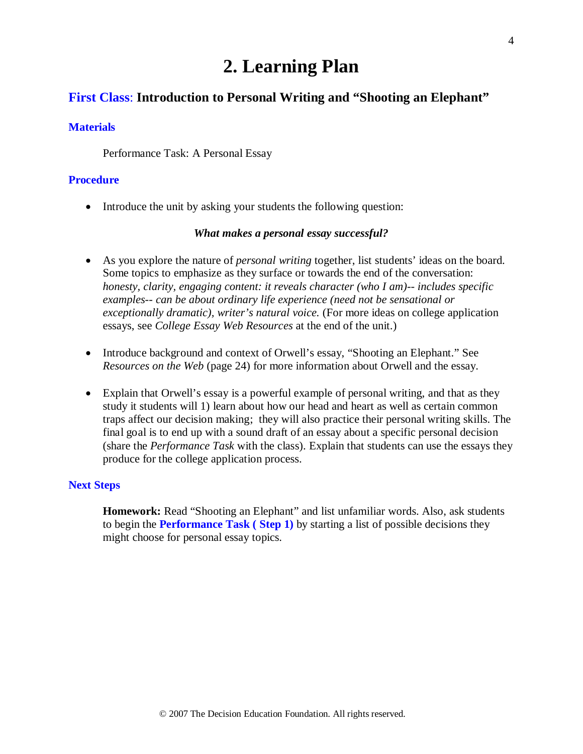# **2. Learning Plan**

## **First Class**: **Introduction to Personal Writing and "Shooting an Elephant"**

### **Materials**

Performance Task: A Personal Essay

## **Procedure**

• Introduce the unit by asking your students the following question:

#### *What makes a personal essay successful?*

- As you explore the nature of *personal writing* together, list students' ideas on the board. Some topics to emphasize as they surface or towards the end of the conversation: *honesty, clarity, engaging content: it reveals character (who I am)-- includes specific examples-- can be about ordinary life experience (need not be sensational or exceptionally dramatic), writer's natural voice.* (For more ideas on college application essays, see *College Essay Web Resources* at the end of the unit.)
- Introduce background and context of Orwell's essay, "Shooting an Elephant." See *Resources on the Web* (page 24) for more information about Orwell and the essay.
- Explain that Orwell's essay is a powerful example of personal writing, and that as they study it students will 1) learn about how our head and heart as well as certain common traps affect our decision making; they will also practice their personal writing skills. The final goal is to end up with a sound draft of an essay about a specific personal decision (share the *Performance Task* with the class). Explain that students can use the essays they produce for the college application process.

#### **Next Steps**

**Homework:** Read "Shooting an Elephant" and list unfamiliar words. Also, ask students to begin the **Performance Task ( Step 1)** by starting a list of possible decisions they might choose for personal essay topics.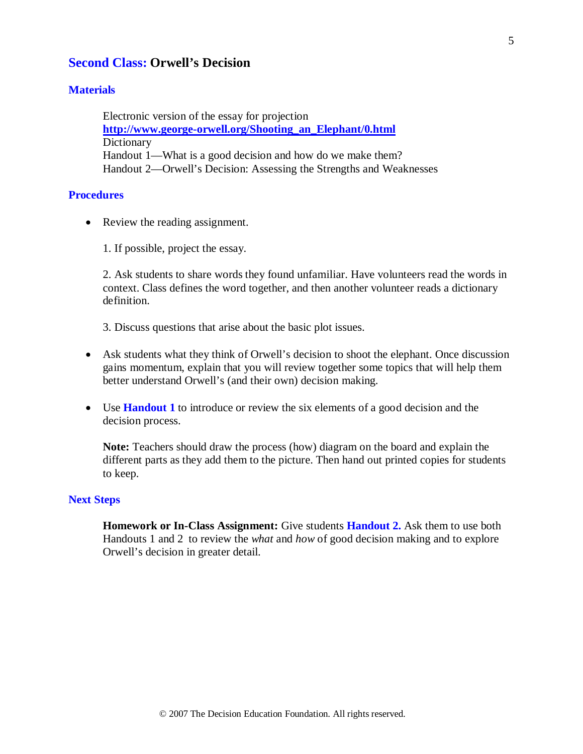## **Second Class: Orwell's Decision**

## **Materials**

Electronic version of the essay for projection **[http://www.george-orwell.org/Shooting\\_an\\_Elephant/0.html](http://www.george-orwell.org/Shooting_an_Elephant/0.html)** Dictionary Handout 1—What is a good decision and how do we make them? Handout 2—Orwell's Decision: Assessing the Strengths and Weaknesses

## **Procedures**

• Review the reading assignment.

1. If possible, project the essay.

2. Ask students to share words they found unfamiliar. Have volunteers read the words in context. Class defines the word together, and then another volunteer reads a dictionary definition.

3. Discuss questions that arise about the basic plot issues.

- Ask students what they think of Orwell's decision to shoot the elephant. Once discussion gains momentum, explain that you will review together some topics that will help them better understand Orwell's (and their own) decision making.
- Use **Handout 1** to introduce or review the six elements of a good decision and the decision process.

**Note:** Teachers should draw the process (how) diagram on the board and explain the different parts as they add them to the picture. Then hand out printed copies for students to keep.

#### **Next Steps**

**Homework or In-Class Assignment:** Give students **Handout 2.** Ask them to use both Handouts 1 and 2 to review the *what* and *how* of good decision making and to explore Orwell's decision in greater detail.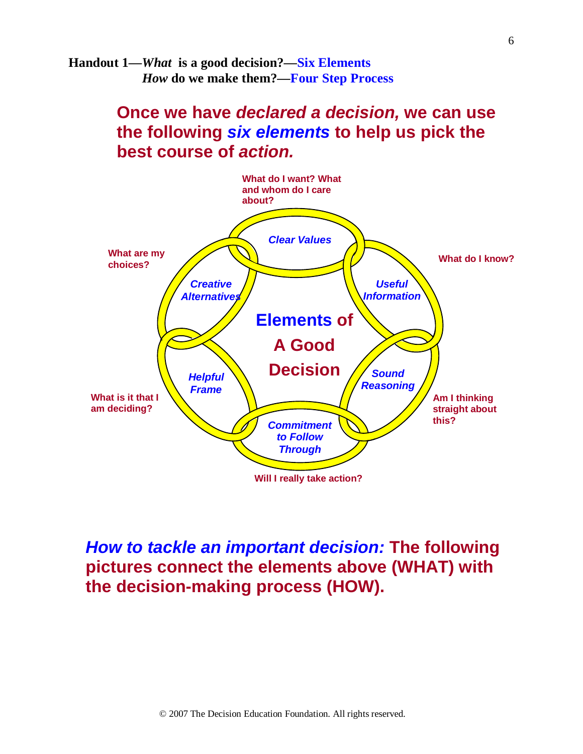**Handout 1—***What* **is a good decision?—Six Elements** *How* **do we make them?—Four Step Process**

# **Once we have** *declared a decision,* **we can use the following** *six elements* **to help us pick the best course of** *action.*



# *How to tackle an important decision:* **The following pictures connect the elements above (WHAT) with the decision-making process (HOW).**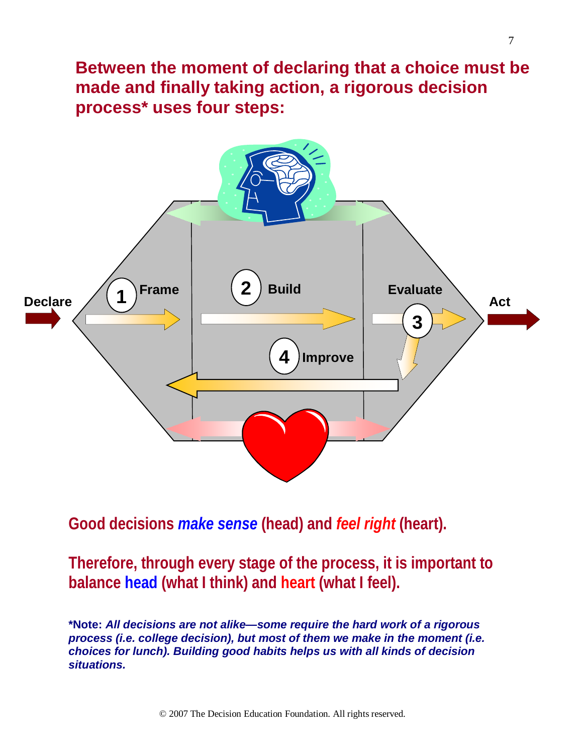**Between the moment of declaring that a choice must be made and finally taking action, a rigorous decision process\* uses four steps:**



**Good decisions** *make sense* **(head) and** *feel right* **(heart).**

**Therefore, through every stage of the process, it is important to balance head (what I think) and heart (what I feel).** 

**\*Note:** *All decisions are not alike—some require the hard work of a rigorous process (i.e. college decision), but most of them we make in the moment (i.e. choices for lunch). Building good habits helps us with all kinds of decision situations.*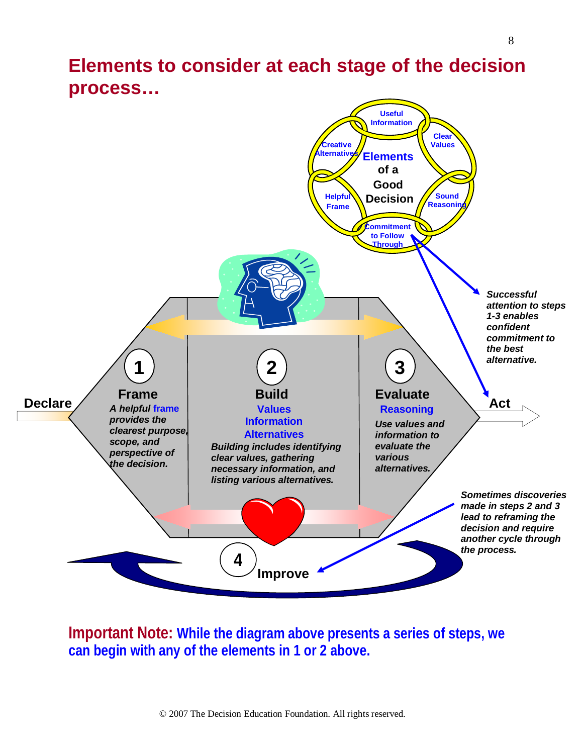# **Elements to consider at each stage of the decision process…**



**Important Note: While the diagram above presents a series of steps, we can begin with any of the elements in 1 or 2 above.**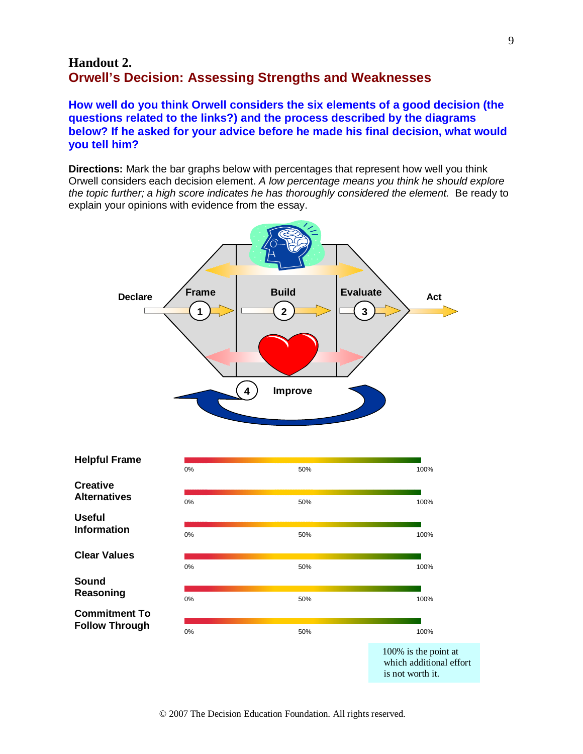## **Handout 2. Orwell's Decision: Assessing Strengths and Weaknesses**

**How well do you think Orwell considers the six elements of a good decision (the questions related to the links?) and the process described by the diagrams below? If he asked for your advice before he made his final decision, what would you tell him?**

**Directions:** Mark the bar graphs below with percentages that represent how well you think Orwell considers each decision element. *A low percentage means you think he should explore the topic further; a high score indicates he has thoroughly considered the element.* Be ready to explain your opinions with evidence from the essay.



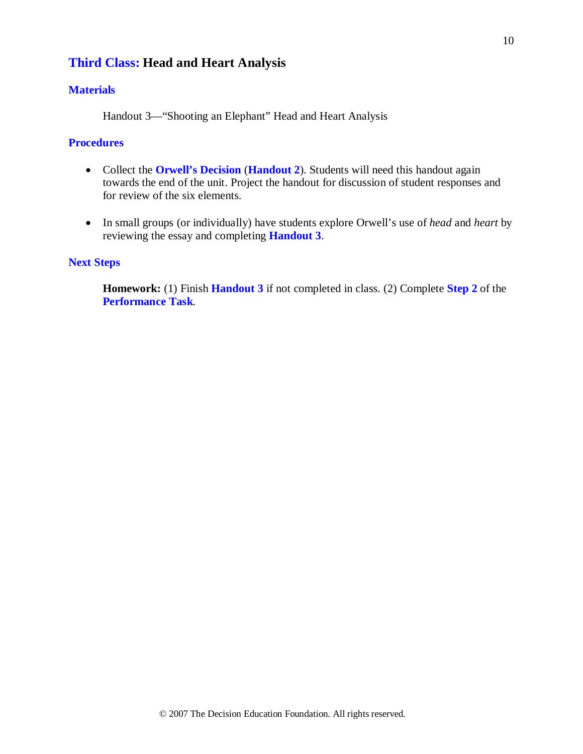## **Third Class: Head and Heart Analysis**

## **Materials**

Handout 3—"Shooting an Elephant" Head and Heart Analysis

## **Procedures**

- Collect the **Orwell's Decision** (**Handout 2**). Students will need this handout again towards the end of the unit. Project the handout for discussion of student responses and for review of the six elements.
- In small groups (or individually) have students explore Orwell's use of *head* and *heart* by reviewing the essay and completing **Handout 3**.

### **Next Steps**

**Homework:** (1) Finish **Handout 3** if not completed in class. (2) Complete **Step 2** of the **Performance Task***.*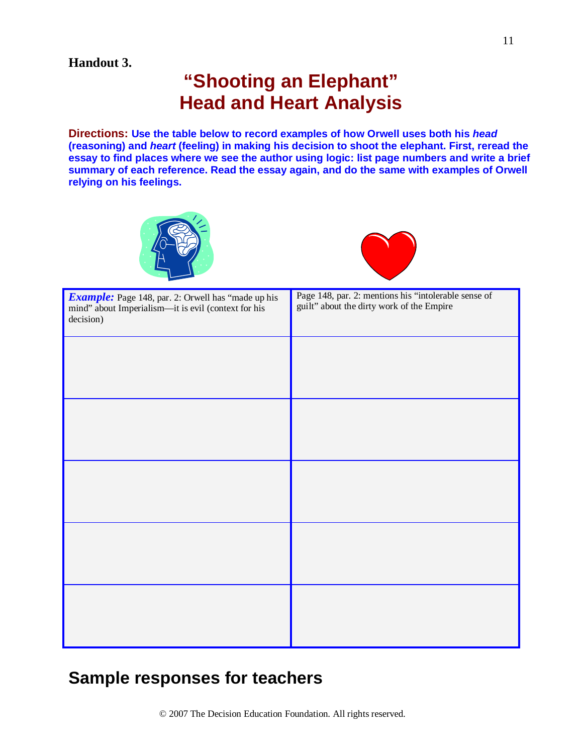## **Handout 3.**

# **"Shooting an Elephant" Head and Heart Analysis**

**Directions: Use the table below to record examples of how Orwell uses both his** *head* **(reasoning) and** *heart* **(feeling) in making his decision to shoot the elephant. First, reread the essay to find places where we see the author using logic: list page numbers and write a brief summary of each reference. Read the essay again, and do the same with examples of Orwell relying on his feelings.**





| <b>Example:</b> Page 148, par. 2: Orwell has "made up his<br>mind" about Imperialism--- it is evil (context for his<br>decision) | Page 148, par. 2: mentions his "intolerable sense of<br>guilt" about the dirty work of the Empire |  |
|----------------------------------------------------------------------------------------------------------------------------------|---------------------------------------------------------------------------------------------------|--|
|                                                                                                                                  |                                                                                                   |  |
|                                                                                                                                  |                                                                                                   |  |
|                                                                                                                                  |                                                                                                   |  |
|                                                                                                                                  |                                                                                                   |  |
|                                                                                                                                  |                                                                                                   |  |
|                                                                                                                                  |                                                                                                   |  |

# **Sample responses for teachers**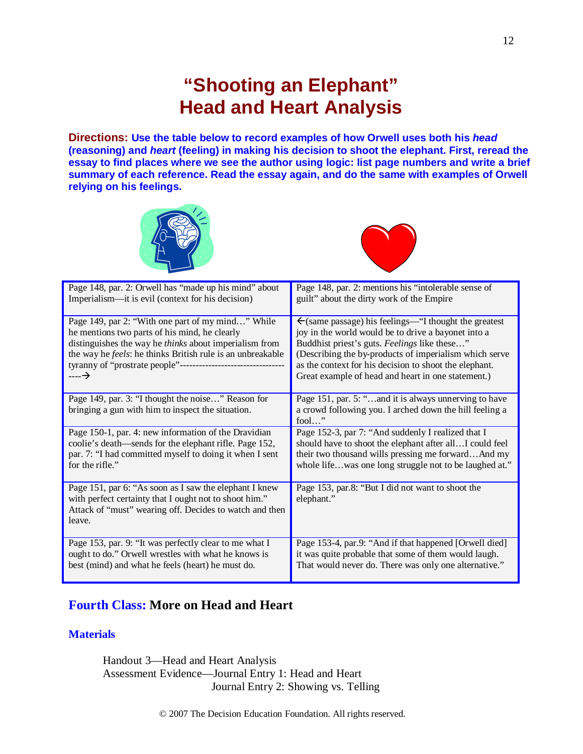# **"Shooting an Elephant" Head and Heart Analysis**

**Directions: Use the table below to record examples of how Orwell uses both his** *head* **(reasoning) and** *heart* **(feeling) in making his decision to shoot the elephant. First, reread the essay to find places where we see the author using logic: list page numbers and write a brief summary of each reference. Read the essay again, and do the same with examples of Orwell relying on his feelings.**





| Page 148, par. 2: Orwell has "made up his mind" about                                                                                                                                 | Page 148, par. 2: mentions his "intolerable sense of                                                                                |  |
|---------------------------------------------------------------------------------------------------------------------------------------------------------------------------------------|-------------------------------------------------------------------------------------------------------------------------------------|--|
| Imperialism—it is evil (context for his decision)                                                                                                                                     | guilt" about the dirty work of the Empire                                                                                           |  |
| Page 149, par 2: "With one part of my mind" While                                                                                                                                     | $\leftarrow$ (same passage) his feelings—"I thought the greatest                                                                    |  |
| he mentions two parts of his mind, he clearly                                                                                                                                         | joy in the world would be to drive a bayonet into a                                                                                 |  |
| distinguishes the way he <i>thinks</i> about imperialism from                                                                                                                         | Buddhist priest's guts. Feelings like these"                                                                                        |  |
| the way he feels: he thinks British rule is an unbreakable                                                                                                                            | (Describing the by-products of imperialism which serve                                                                              |  |
|                                                                                                                                                                                       | as the context for his decision to shoot the elephant.                                                                              |  |
| ----→                                                                                                                                                                                 | Great example of head and heart in one statement.)                                                                                  |  |
| Page 149, par. 3: "I thought the noise" Reason for<br>bringing a gun with him to inspect the situation.                                                                               | Page 151, par. 5: "and it is always unnerving to have<br>a crowd following you. I arched down the hill feeling a<br>fool $\ldots$ " |  |
| Page 150-1, par. 4: new information of the Dravidian                                                                                                                                  | Page 152-3, par 7: "And suddenly I realized that I                                                                                  |  |
| coolie's death—sends for the elephant rifle. Page 152,                                                                                                                                | should have to shoot the elephant after all I could feel                                                                            |  |
| par. 7: "I had committed myself to doing it when I sent                                                                                                                               | their two thousand wills pressing me forwardAnd my                                                                                  |  |
| for the rifle."                                                                                                                                                                       | whole lifewas one long struggle not to be laughed at."                                                                              |  |
| Page 151, par 6: "As soon as I saw the elephant I knew<br>with perfect certainty that I ought not to shoot him."<br>Attack of "must" wearing off. Decides to watch and then<br>leave. | Page 153, par.8: "But I did not want to shoot the<br>elephant."                                                                     |  |
| Page 153, par. 9: "It was perfectly clear to me what I                                                                                                                                | Page 153-4, par.9: "And if that happened [Orwell died]                                                                              |  |
| ought to do." Orwell wrestles with what he knows is                                                                                                                                   | it was quite probable that some of them would laugh.                                                                                |  |
| best (mind) and what he feels (heart) he must do.                                                                                                                                     | That would never do. There was only one alternative."                                                                               |  |

## **Fourth Class: More on Head and Heart**

## **Materials**

Handout 3—Head and Heart Analysis Assessment Evidence—Journal Entry 1: Head and Heart Journal Entry 2: Showing vs. Telling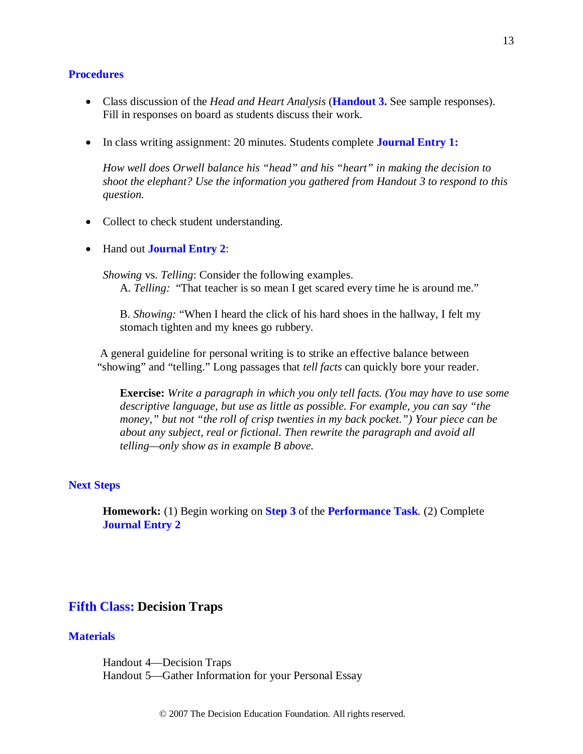#### **Procedures**

- Class discussion of the *Head and Heart Analysis* (**Handout 3.** See sample responses). Fill in responses on board as students discuss their work.
- In class writing assignment: 20 minutes. Students complete **Journal Entry 1:**

*How well does Orwell balance his "head" and his "heart" in making the decision to shoot the elephant? Use the information you gathered from Handout 3 to respond to this question.*

- Collect to check student understanding.
- Hand out **Journal Entry 2**:

*Showing* vs. *Telling*: Consider the following examples. A. *Telling:* "That teacher is so mean I get scared every time he is around me."

B. *Showing:* "When I heard the click of his hard shoes in the hallway, I felt my stomach tighten and my knees go rubbery.

 A general guideline for personal writing is to strike an effective balance between "showing" and "telling." Long passages that *tell facts* can quickly bore your reader.

**Exercise:** *Write a paragraph in which you only tell facts. (You may have to use some descriptive language, but use as little as possible. For example, you can say "the money," but not "the roll of crisp twenties in my back pocket.") Your piece can be about any subject, real or fictional. Then rewrite the paragraph and avoid all telling—only show as in example B above.*

#### **Next Steps**

**Homework:** (1) Begin working on **Step 3** of the **Performance Task***.* (2) Complete **Journal Entry 2**

## **Fifth Class: Decision Traps**

#### **Materials**

Handout 4—Decision Traps Handout 5—Gather Information for your Personal Essay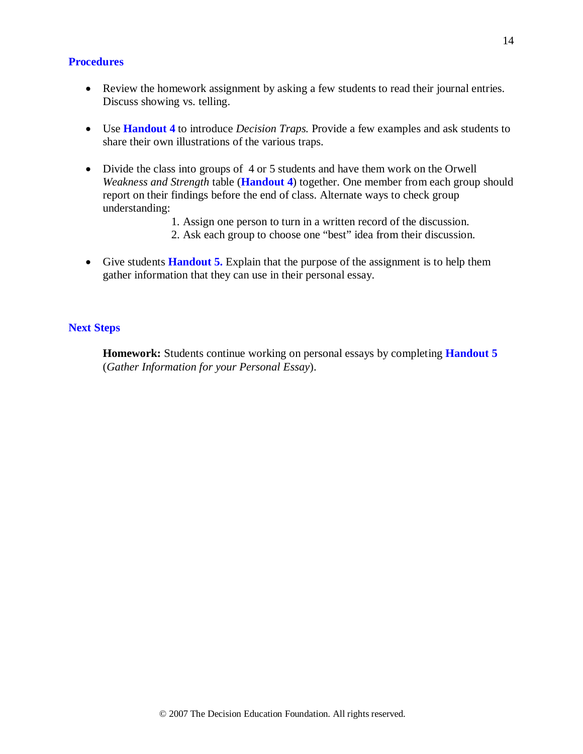#### **Procedures**

- Review the homework assignment by asking a few students to read their journal entries. Discuss showing vs. telling.
- Use **Handout 4** to introduce *Decision Traps.* Provide a few examples and ask students to share their own illustrations of the various traps.
- Divide the class into groups of 4 or 5 students and have them work on the Orwell *Weakness and Strength* table (**Handout 4**) together. One member from each group should report on their findings before the end of class. Alternate ways to check group understanding:
	- 1. Assign one person to turn in a written record of the discussion.
	- 2. Ask each group to choose one "best" idea from their discussion.
- Give students **Handout 5.** Explain that the purpose of the assignment is to help them gather information that they can use in their personal essay.

#### **Next Steps**

**Homework:** Students continue working on personal essays by completing **Handout 5** (*Gather Information for your Personal Essay*).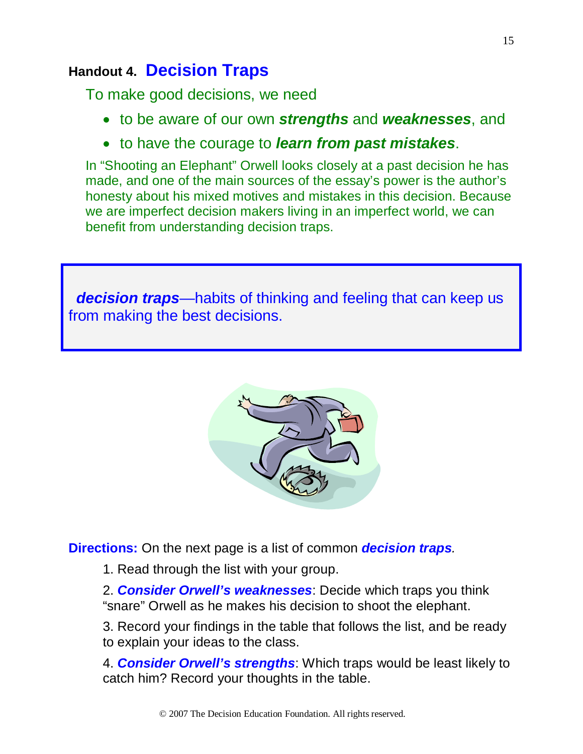## **Handout 4. Decision Traps**

To make good decisions, we need

- to be aware of our own *strengths* and *weaknesses*, and
- to have the courage to *learn from past mistakes*.

In "Shooting an Elephant" Orwell looks closely at a past decision he has made, and one of the main sources of the essay's power is the author's honesty about his mixed motives and mistakes in this decision. Because we are imperfect decision makers living in an imperfect world, we can benefit from understanding decision traps.

*decision traps***—habits of thinking and feeling that can keep us** from making the best decisions.



**Directions:** On the next page is a list of common *decision traps.* 

1. Read through the list with your group.

2. *Consider Orwell's weaknesses*: Decide which traps you think "snare" Orwell as he makes his decision to shoot the elephant.

3. Record your findings in the table that follows the list, and be ready to explain your ideas to the class.

4. *Consider Orwell's strengths*: Which traps would be least likely to catch him? Record your thoughts in the table.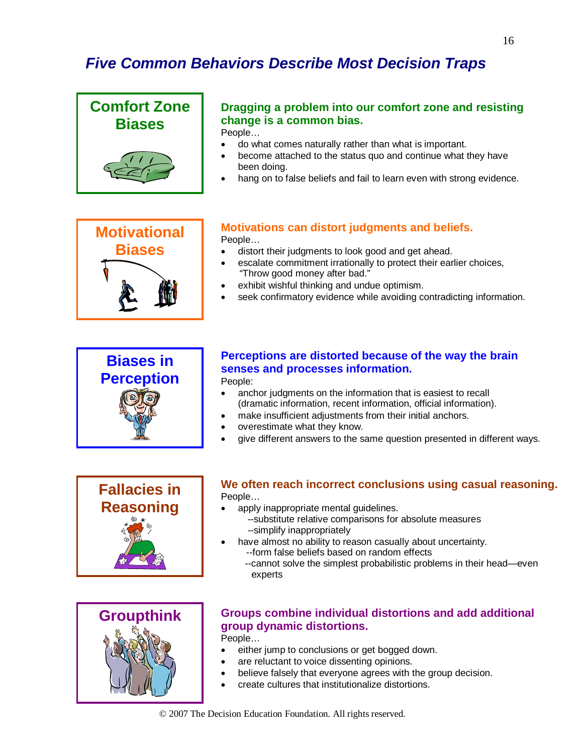# *Five Common Behaviors Describe Most Decision Traps*

#### **Comfort Zone Biases Dragging a problem into our comfort zone and resisting change is a common bias.** People… • do what comes naturally rather than what is important.

- 
- become attached to the status quo and continue what they have been doing.
- hang on to false beliefs and fail to learn even with strong evidence.

# **Motivational Biases**

## **Motivations can distort judgments and beliefs.**

People…

- distort their judgments to look good and get ahead.
- escalate commitment irrationally to protect their earlier choices, "Throw good money after bad."
- exhibit wishful thinking and undue optimism.
- seek confirmatory evidence while avoiding contradicting information.



## **Perceptions are distorted because of the way the brain senses and processes information.**

## People:

- anchor judgments on the information that is easiest to recall (dramatic information, recent information, official information).
- make insufficient adjustments from their initial anchors.
- overestimate what they know.
- give different answers to the same question presented in different ways.



#### **We often reach incorrect conclusions using casual reasoning.** People…

- apply inappropriate mental guidelines.
	- --substitute relative comparisons for absolute measures --simplify inappropriately
- have almost no ability to reason casually about uncertainty. --form false beliefs based on random effects
	- --cannot solve the simplest probabilistic problems in their head—even experts



## **Groups combine individual distortions and add additional group dynamic distortions.**

People…

- either jump to conclusions or get bogged down.
- are reluctant to voice dissenting opinions.
- believe falsely that everyone agrees with the group decision.
- create cultures that institutionalize distortions.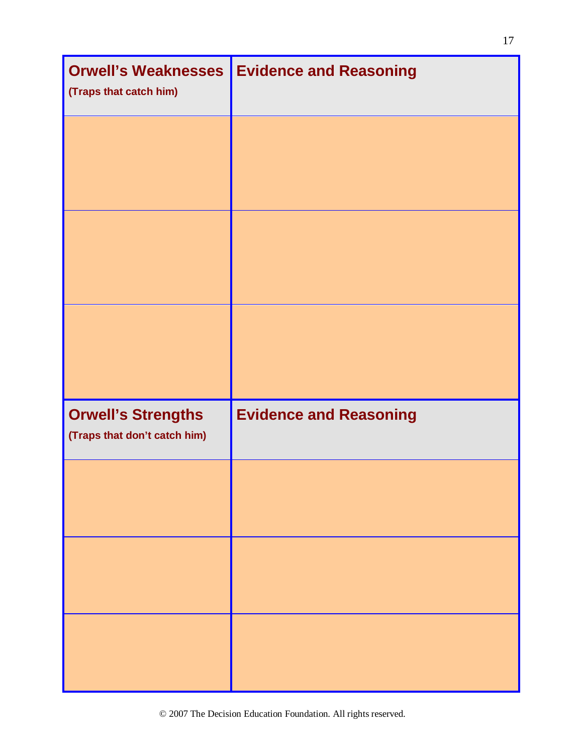| <b>Orwell's Weaknesses</b><br>(Traps that catch him)      | <b>Evidence and Reasoning</b> |  |
|-----------------------------------------------------------|-------------------------------|--|
|                                                           |                               |  |
|                                                           |                               |  |
|                                                           |                               |  |
| <b>Orwell's Strengths</b><br>(Traps that don't catch him) | <b>Evidence and Reasoning</b> |  |
|                                                           |                               |  |
|                                                           |                               |  |
|                                                           |                               |  |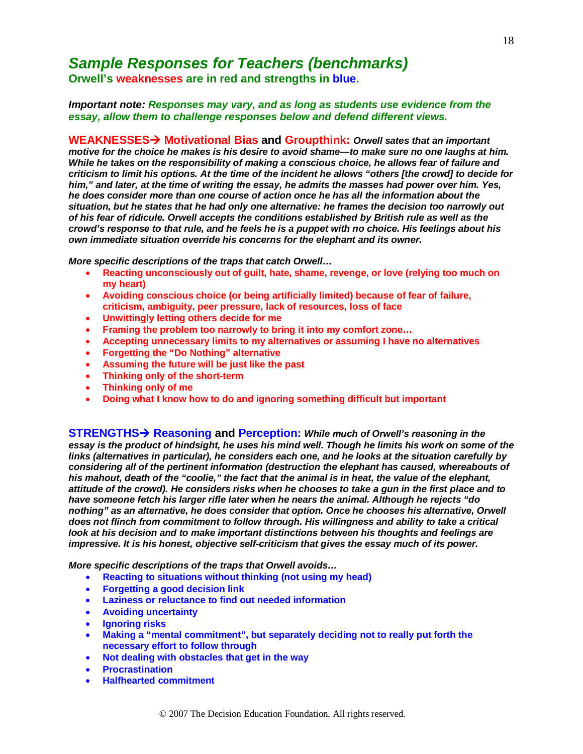## *Sample Responses for Teachers (benchmarks)*

**Orwell's weaknesses are in red and strengths in blue.**

#### *Important note: Responses may vary, and as long as students use evidence from the essay, allow them to challenge responses below and defend different views.*

**WEAKNESSES Motivational Bias and Groupthink:** *Orwell sates that an important motive for the choice he makes is his desire to avoid shame—to make sure no one laughs at him. While he takes on the responsibility of making a conscious choice, he allows fear of failure and criticism to limit his options. At the time of the incident he allows "others [the crowd] to decide for him," and later, at the time of writing the essay, he admits the masses had power over him. Yes, he does consider more than one course of action once he has all the information about the situation, but he states that he had only one alternative: he frames the decision too narrowly out of his fear of ridicule. Orwell accepts the conditions established by British rule as well as the crowd's response to that rule, and he feels he is a puppet with no choice. His feelings about his own immediate situation override his concerns for the elephant and its owner.*

*More specific descriptions of the traps that catch Orwell…*

- **Reacting unconsciously out of guilt, hate, shame, revenge, or love (relying too much on my heart)**
- **Avoiding conscious choice (or being artificially limited) because of fear of failure, criticism, ambiguity, peer pressure, lack of resources, loss of face**
- **Unwittingly letting others decide for me**
- **Framing the problem too narrowly to bring it into my comfort zone…**
- **Accepting unnecessary limits to my alternatives or assuming I have no alternatives**
- **Forgetting the "Do Nothing" alternative**
- **Assuming the future will be just like the past**
- **Thinking only of the short-term**
- **Thinking only of me**
- **Doing what I know how to do and ignoring something difficult but important**

**STRENGTHS Reasoning and Perception:** *While much of Orwell's reasoning in the*  essay is the product of hindsight, he uses his mind well. Though he limits his work on some of the *links (alternatives in particular), he considers each one, and he looks at the situation carefully by considering all of the pertinent information (destruction the elephant has caused, whereabouts of his mahout, death of the "coolie," the fact that the animal is in heat, the value of the elephant, attitude of the crowd). He considers risks when he chooses to take a gun in the first place and to have someone fetch his larger rifle later when he nears the animal. Although he rejects "do nothing" as an alternative, he does consider that option. Once he chooses his alternative, Orwell does not flinch from commitment to follow through. His willingness and ability to take a critical look at his decision and to make important distinctions between his thoughts and feelings are impressive. It is his honest, objective self-criticism that gives the essay much of its power.*

*More specific descriptions of the traps that Orwell avoids…*

- **Reacting to situations without thinking (not using my head)**
- **Forgetting a good decision link**
- **Laziness or reluctance to find out needed information**
- **Avoiding uncertainty**
- **Ignoring risks**
- **Making a "mental commitment", but separately deciding not to really put forth the necessary effort to follow through**
- **Not dealing with obstacles that get in the way**
- **Procrastination**
- **Halfhearted commitment**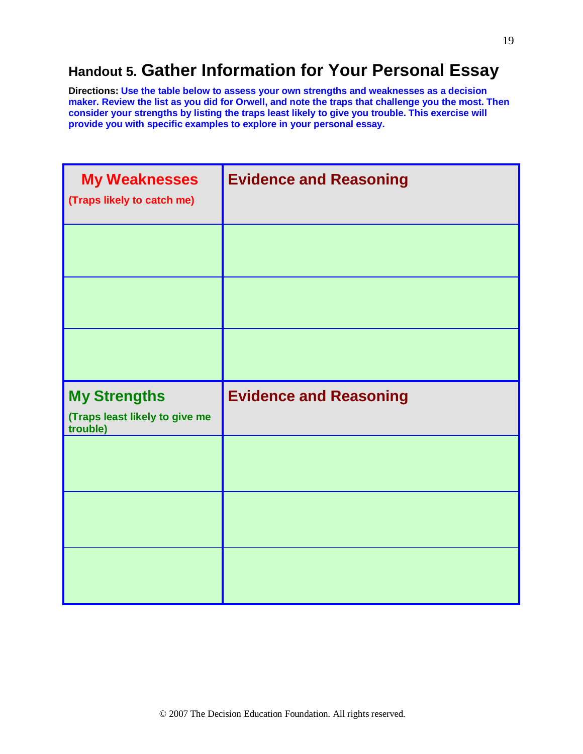# **Handout 5. Gather Information for Your Personal Essay**

**Directions: Use the table below to assess your own strengths and weaknesses as a decision maker. Review the list as you did for Orwell, and note the traps that challenge you the most. Then consider your strengths by listing the traps least likely to give you trouble. This exercise will provide you with specific examples to explore in your personal essay.**

| <b>My Weaknesses</b><br>(Traps likely to catch me)                | <b>Evidence and Reasoning</b> |  |
|-------------------------------------------------------------------|-------------------------------|--|
|                                                                   |                               |  |
|                                                                   |                               |  |
|                                                                   |                               |  |
|                                                                   |                               |  |
| <b>My Strengths</b><br>(Traps least likely to give me<br>trouble) | <b>Evidence and Reasoning</b> |  |
|                                                                   |                               |  |
|                                                                   |                               |  |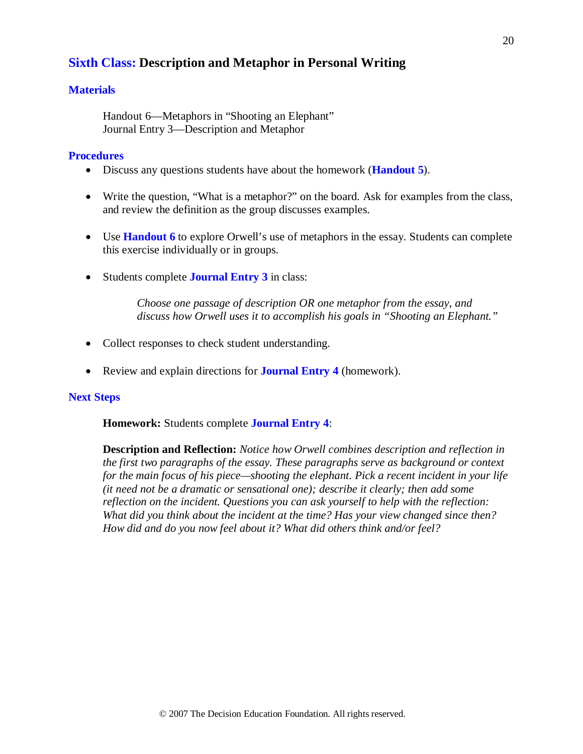## **Sixth Class: Description and Metaphor in Personal Writing**

## **Materials**

Handout 6—Metaphors in "Shooting an Elephant" Journal Entry 3—Description and Metaphor

### **Procedures**

- Discuss any questions students have about the homework (**Handout 5**).
- Write the question, "What is a metaphor?" on the board. Ask for examples from the class, and review the definition as the group discusses examples.
- Use **Handout 6** to explore Orwell's use of metaphors in the essay. Students can complete this exercise individually or in groups.
- Students complete **Journal Entry 3** in class:

*Choose one passage of description OR one metaphor from the essay, and discuss how Orwell uses it to accomplish his goals in "Shooting an Elephant."*

- Collect responses to check student understanding.
- Review and explain directions for **Journal Entry 4** (homework).

#### **Next Steps**

**Homework:** Students complete **Journal Entry 4**:

**Description and Reflection:** *Notice how Orwell combines description and reflection in the first two paragraphs of the essay. These paragraphs serve as background or context for the main focus of his piece—shooting the elephant. Pick a recent incident in your life (it need not be a dramatic or sensational one); describe it clearly; then add some reflection on the incident. Questions you can ask yourself to help with the reflection: What did you think about the incident at the time? Has your view changed since then? How did and do you now feel about it? What did others think and/or feel?*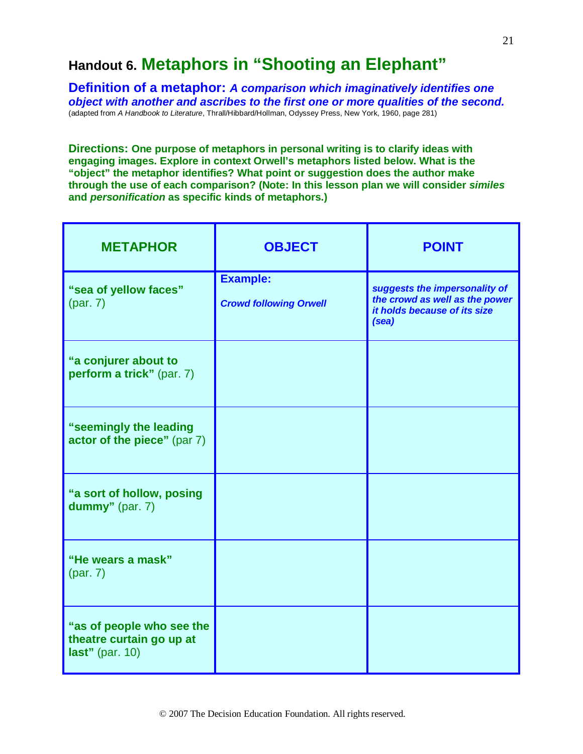# **Handout 6. Metaphors in "Shooting an Elephant"**

**Definition of a metaphor:** *A comparison which imaginatively identifies one object with another and ascribes to the first one or more qualities of the second.* (adapted from *A Handbook to Literature*, Thrall/Hibbard/Hollman, Odyssey Press, New York, 1960, page 281)

**Directions: One purpose of metaphors in personal writing is to clarify ideas with engaging images. Explore in context Orwell's metaphors listed below. What is the "object" the metaphor identifies? What point or suggestion does the author make through the use of each comparison? (Note: In this lesson plan we will consider** *similes* **and** *personification* **as specific kinds of metaphors.)**

| <b>METAPHOR</b>                                                             | <b>OBJECT</b>                                    | <b>POINT</b>                                                                                             |
|-----------------------------------------------------------------------------|--------------------------------------------------|----------------------------------------------------------------------------------------------------------|
| "sea of yellow faces"                                                       | <b>Example:</b><br><b>Crowd following Orwell</b> | suggests the impersonality of<br>the crowd as well as the power<br>it holds because of its size<br>(sea) |
| "a conjurer about to<br>perform a trick" (par. 7)                           |                                                  |                                                                                                          |
| "seemingly the leading<br>actor of the piece" (par 7)                       |                                                  |                                                                                                          |
| "a sort of hollow, posing<br>dummy" (par. 7)                                |                                                  |                                                                                                          |
| "He wears a mask"                                                           |                                                  |                                                                                                          |
| "as of people who see the<br>theatre curtain go up at<br>last" (par. $10$ ) |                                                  |                                                                                                          |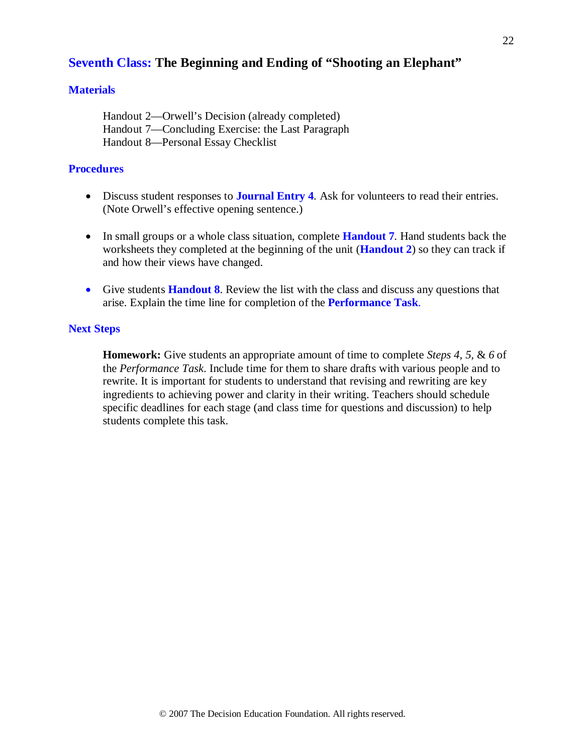## **Seventh Class: The Beginning and Ending of "Shooting an Elephant"**

## **Materials**

Handout 2—Orwell's Decision (already completed) Handout 7—Concluding Exercise: the Last Paragraph Handout 8—Personal Essay Checklist

## **Procedures**

- Discuss student responses to **Journal Entry 4***.* Ask for volunteers to read their entries. (Note Orwell's effective opening sentence.)
- In small groups or a whole class situation, complete **Handout 7**. Hand students back the worksheets they completed at the beginning of the unit (**Handout 2**) so they can track if and how their views have changed.
- Give students **Handout 8**. Review the list with the class and discuss any questions that arise. Explain the time line for completion of the **Performance Task**.

## **Next Steps**

**Homework:** Give students an appropriate amount of time to complete *Steps 4, 5,* & *6* of the *Performance Task*. Include time for them to share drafts with various people and to rewrite. It is important for students to understand that revising and rewriting are key ingredients to achieving power and clarity in their writing. Teachers should schedule specific deadlines for each stage (and class time for questions and discussion) to help students complete this task.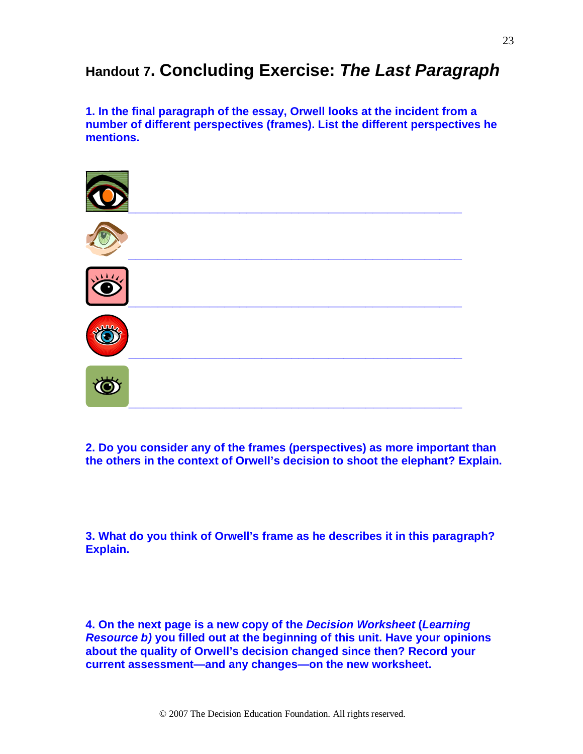# **Handout 7. Concluding Exercise:** *The Last Paragraph*

**1. In the final paragraph of the essay, Orwell looks at the incident from a number of different perspectives (frames). List the different perspectives he mentions.** 



**2. Do you consider any of the frames (perspectives) as more important than the others in the context of Orwell's decision to shoot the elephant? Explain.**

**3. What do you think of Orwell's frame as he describes it in this paragraph? Explain.**

**4. On the next page is a new copy of the** *Decision Worksheet* **(***Learning Resource b)* **you filled out at the beginning of this unit. Have your opinions about the quality of Orwell's decision changed since then? Record your current assessment—and any changes—on the new worksheet.**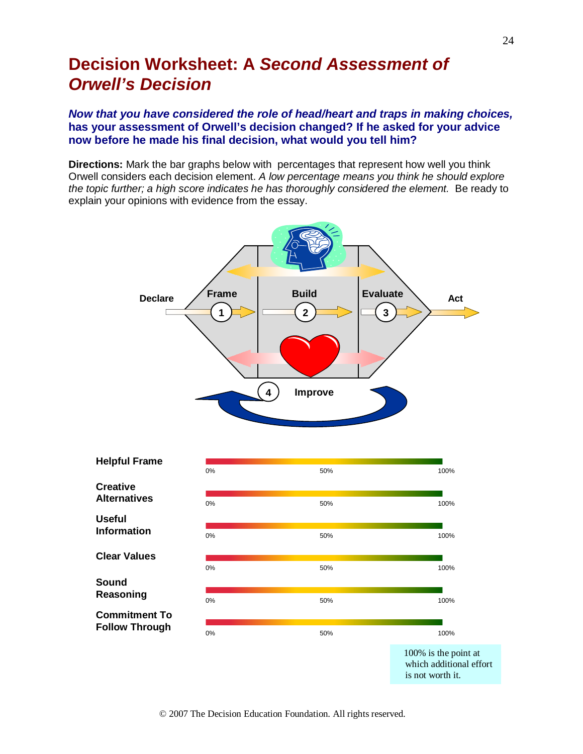# **Decision Worksheet: A** *Second Assessment of Orwell's Decision*

## *Now that you have considered the role of head/heart and traps in making choices,* **has your assessment of Orwell's decision changed? If he asked for your advice now before he made his final decision, what would you tell him?**

**Directions:** Mark the bar graphs below with percentages that represent how well you think Orwell considers each decision element. *A low percentage means you think he should explore the topic further; a high score indicates he has thoroughly considered the element.* Be ready to explain your opinions with evidence from the essay.



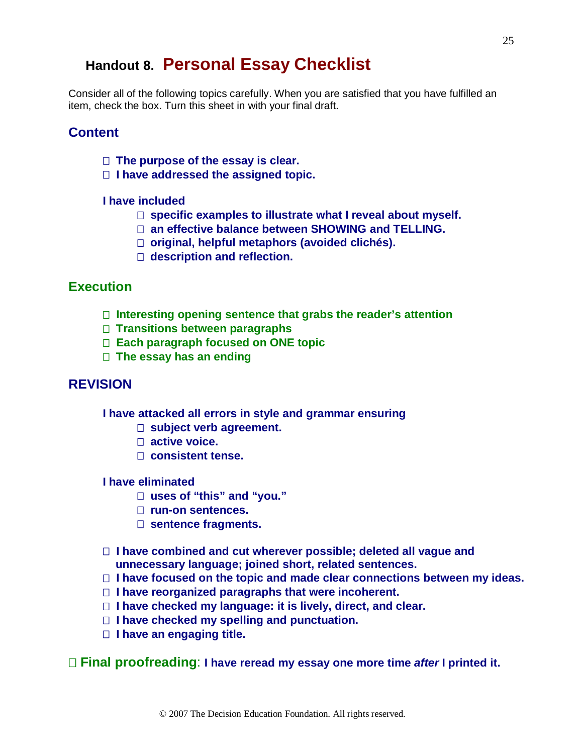## **Handout 8. Personal Essay Checklist**

Consider all of the following topics carefully. When you are satisfied that you have fulfilled an item, check the box. Turn this sheet in with your final draft.

## **Content**

- **The purpose of the essay is clear.**
- **I have addressed the assigned topic.**

### **I have included**

- **specific examples to illustrate what I reveal about myself.**
- **an effective balance between SHOWING and TELLING.**
- **original, helpful metaphors (avoided clichés).**
- **description and reflection.**

## **Execution**

- **Interesting opening sentence that grabs the reader's attention**
- **Transitions between paragraphs**
- **Each paragraph focused on ONE topic**
- **The essay has an ending**

## **REVISION**

**I have attacked all errors in style and grammar ensuring**

- □ subject verb agreement.
- **active voice.**
- **consistent tense.**

## **I have eliminated**

- **uses of "this" and "you."**
- **run-on sentences.**
- □ sentence fragments.
- **I have combined and cut wherever possible; deleted all vague and unnecessary language; joined short, related sentences.**
- **I have focused on the topic and made clear connections between my ideas.**
- **I have reorganized paragraphs that were incoherent.**
- **I have checked my language: it is lively, direct, and clear.**
- **I have checked my spelling and punctuation.**
- **I have an engaging title.**

**Final proofreading**: **I have reread my essay one more time** *after* **I printed it.**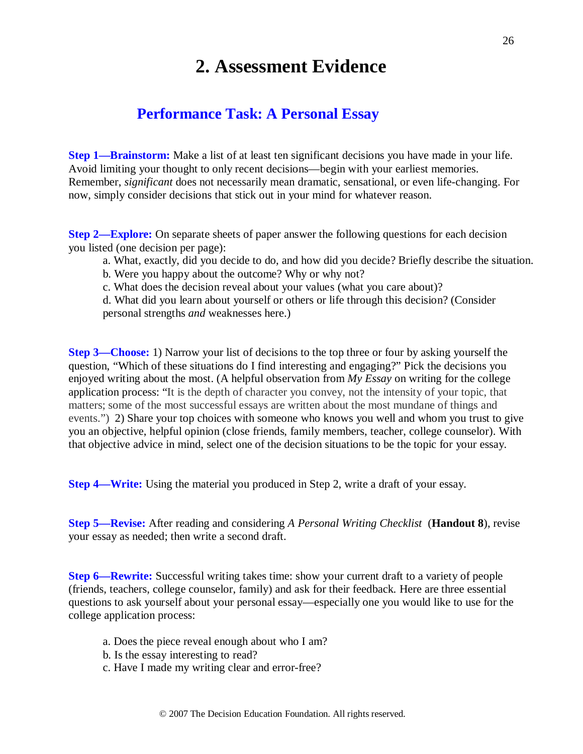# **2. Assessment Evidence**

## **Performance Task: A Personal Essay**

**Step 1—Brainstorm:** Make a list of at least ten significant decisions you have made in your life. Avoid limiting your thought to only recent decisions—begin with your earliest memories. Remember, *significant* does not necessarily mean dramatic, sensational, or even life-changing. For now, simply consider decisions that stick out in your mind for whatever reason.

**Step 2—Explore:** On separate sheets of paper answer the following questions for each decision you listed (one decision per page):

- a. What, exactly, did you decide to do, and how did you decide? Briefly describe the situation.
- b. Were you happy about the outcome? Why or why not?
- c. What does the decision reveal about your values (what you care about)?

d. What did you learn about yourself or others or life through this decision? (Consider personal strengths *and* weaknesses here.)

**Step 3—Choose:** 1) Narrow your list of decisions to the top three or four by asking yourself the question, "Which of these situations do I find interesting and engaging?" Pick the decisions you enjoyed writing about the most. (A helpful observation from *My Essay* on writing for the college application process: "It is the depth of character you convey, not the intensity of your topic, that matters; some of the most successful essays are written about the most mundane of things and events.") 2) Share your top choices with someone who knows you well and whom you trust to give you an objective, helpful opinion (close friends, family members, teacher, college counselor). With that objective advice in mind, select one of the decision situations to be the topic for your essay.

**Step 4—Write:** Using the material you produced in Step 2, write a draft of your essay.

**Step 5—Revise:** After reading and considering *A Personal Writing Checklist* (**Handout 8**), revise your essay as needed; then write a second draft.

**Step 6—Rewrite:** Successful writing takes time: show your current draft to a variety of people (friends, teachers, college counselor, family) and ask for their feedback. Here are three essential questions to ask yourself about your personal essay—especially one you would like to use for the college application process:

- a. Does the piece reveal enough about who I am?
- b. Is the essay interesting to read?
- c. Have I made my writing clear and error-free?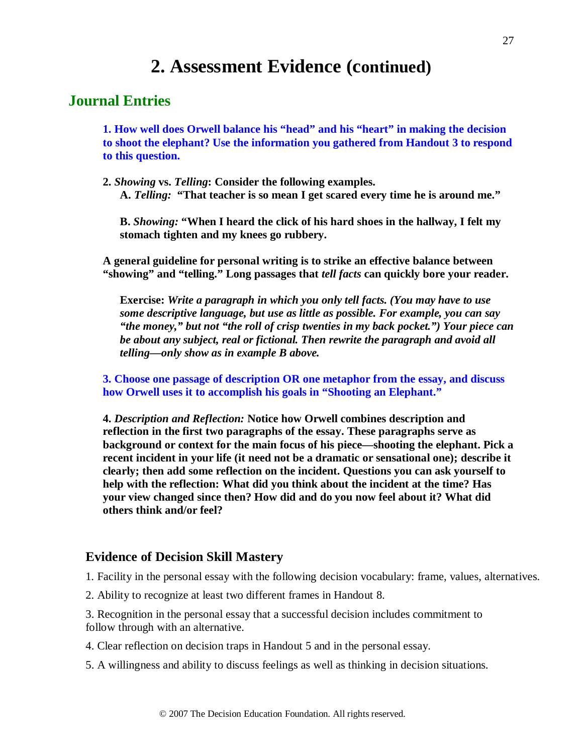# **2. Assessment Evidence (continued)**

## **Journal Entries**

**1. How well does Orwell balance his "head" and his "heart" in making the decision to shoot the elephant? Use the information you gathered from Handout 3 to respond to this question.**

**2.** *Showing* **vs.** *Telling***: Consider the following examples. A.** *Telling:* **"That teacher is so mean I get scared every time he is around me."**

**B.** *Showing:* **"When I heard the click of his hard shoes in the hallway, I felt my stomach tighten and my knees go rubbery.**

 **A general guideline for personal writing is to strike an effective balance between "showing" and "telling." Long passages that** *tell facts* **can quickly bore your reader.**

**Exercise:** *Write a paragraph in which you only tell facts. (You may have to use some descriptive language, but use as little as possible. For example, you can say "the money," but not "the roll of crisp twenties in my back pocket.") Your piece can be about any subject, real or fictional. Then rewrite the paragraph and avoid all telling—only show as in example B above.*

**3. Choose one passage of description OR one metaphor from the essay, and discuss how Orwell uses it to accomplish his goals in "Shooting an Elephant."**

**4.** *Description and Reflection:* **Notice how Orwell combines description and reflection in the first two paragraphs of the essay. These paragraphs serve as background or context for the main focus of his piece—shooting the elephant. Pick a recent incident in your life (it need not be a dramatic or sensational one); describe it clearly; then add some reflection on the incident. Questions you can ask yourself to help with the reflection: What did you think about the incident at the time? Has your view changed since then? How did and do you now feel about it? What did others think and/or feel?**

## **Evidence of Decision Skill Mastery**

1. Facility in the personal essay with the following decision vocabulary: frame, values, alternatives.

2. Ability to recognize at least two different frames in Handout 8.

3. Recognition in the personal essay that a successful decision includes commitment to follow through with an alternative.

4. Clear reflection on decision traps in Handout 5 and in the personal essay.

5. A willingness and ability to discuss feelings as well as thinking in decision situations.